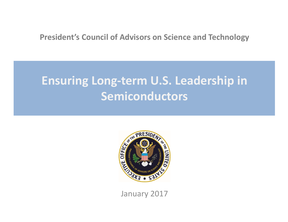### **President's Council of Advisors on Science and Technology**

# **Ensuring Long‐term U.S. Leadership in Semiconductors**



January 2017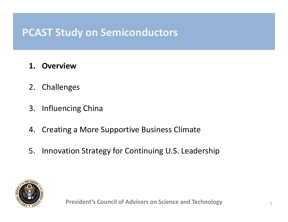- **1. Overview**
- 2. Challenges
- 3. Influencing China
- 4. Creating <sup>a</sup> More Supportive Business Climate
- 5. Innovation Strategy for Continuing U.S. Leadership

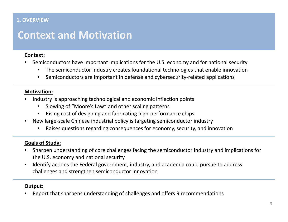#### **1. OVERVIEW**

### **Context and Motivation**

#### **Context:**

- • Semiconductors have important implications for the U.S. economy and for national security
	- •The semiconductor industry creates foundational technologies that enable innovation
	- •● Semiconductors are important in defense and cybersecurity-related applications

#### **Motivation:**

- • Industry is approaching technological and economic inflection points
	- •Slowing of "Moore's Law" and other scaling patterns
	- •Rising cost of designing and fabricating high‐performance chips
- $\bullet$ ● New large-scale Chinese industrial policy is targeting semiconductor industry
	- •Raises questions regarding consequences for economy, security, and innovation

#### **Goals of Study:**

- • Sharpen understanding of core challenges facing the semiconductor industry and implications for the U.S. economy and national security
- $\bullet$  Identify actions the Federal government, industry, and academia could pursue to address challenges and strengthen semiconductor innovation

#### **Output:**

•Report that sharpens understanding of challenges and offers 9 recommendations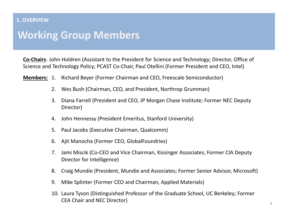#### **1. OVERVIEW**

### **Working Group Members**

**Co‐Chairs**: John Holdren (Assistant to the President for Science and Technology; Director, Office of Science and Technology Policy; PCAST Co‐Chair, Paul Otellini (Former President and CEO, Intel)

- **Members:** 1. Richard Beyer (Former Chairman and CEO, Freescale Semiconductor)
	- 2. Wes Bush (Chairman, CEO, and President, Northrop Grumman)
	- 3. Diana Farrell (President and CEO, JP Morgan Chase Institute; Former NEC Deputy Director)
	- 4. John Hennessy (President Emeritus, Stanford University)
	- 5. Paul Jacobs (Executive Chairman, Qualcomm)
	- 6. Ajit Manocha (Former CEO, GlobalFoundries)
	- 7. Jami Miscik (Co‐CEO and Vice Chairman, Kissinger Associates; Former CIA Deputy Director for Intelligence)
	- 8. Craig Mundie (President, Mundie and Associates; Former Senior Advisor, Microsoft)
	- 9. Mike Splinter (Former CEO and Chairman, Applied Materials)
	- 10. Laura Tyson (Distinguished Professor of the Graduate School, UC Berkeley; Former CEA Chair and NEC Director)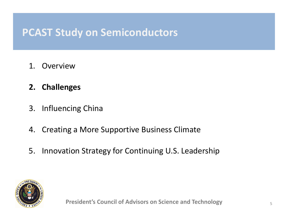- 1. Overview
- **2. Challenges**
- 3. Influencing China
- 4. Creating <sup>a</sup> More Supportive Business Climate
- 5. Innovation Strategy for Continuing U.S. Leadership

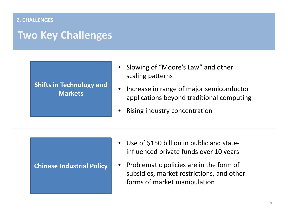#### **2. CHALLENGES**

### **Two Key Challenges**

#### **Shifts in Technology and Markets**

- • Slowing of "Moore's Law" and other scaling patterns
- •**•** Increase in range of major semiconductor applications beyond traditional computing
- •Rising industry concentration

#### **Chinese Industrial Policy**

- $\bullet$ ● Use of \$150 billion in public and stateinfluenced private funds over 10 years
- $\bullet$ • Problematic policies are in the form of subsidies, market restrictions, and other forms of market manipulation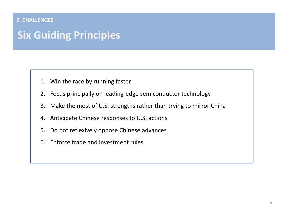#### **2. CHALLENGES**

## **Six Guiding Principles**

- 1. Win the race by running faster
- 2. Focus principally on leading‐edge semiconductor technology
- 3. Make the most of U.S. strengths rather than trying to mirror China
- 4. Anticipate Chinese responses to U.S. actions
- 5. Do not reflexively oppose Chinese advances
- 6. Enforce trade and investment rules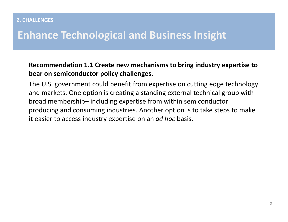## **Enhance Technological and Business Insight**

### **Recommendation 1.1 Create new mechanisms to bring industry expertise to bear on semiconductor policy challenges.**

The U.S. government could benefit from expertise on cutting edge technology and markets. One option is creating <sup>a</sup> standing external technical group with broad membership– including expertise from within semiconductor producing and consuming industries. Another option is to take steps to make it easier to access industry expertise on an *ad hoc* basis.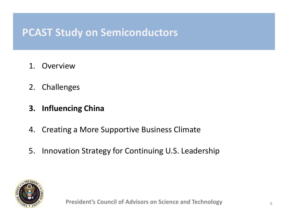- 1. Overview
- 2. Challenges
- **3. Influencing China**
- 4. Creating <sup>a</sup> More Supportive Business Climate
- 5. Innovation Strategy for Continuing U.S. Leadership

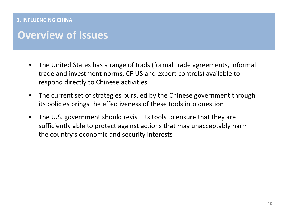#### **3. INFLUENCING CHINA**

### **Overview of Issues**

- $\bullet$  The United States has <sup>a</sup> range of tools (formal trade agreements, informal trade and investment norms, CFIUS and export controls) available to respond directly to Chinese activities
- $\bullet$  The current set of strategies pursued by the Chinese government through its policies brings the effectiveness of these tools into question
- $\bullet$  The U.S. government should revisit its tools to ensure that they are sufficiently able to protect against actions that may unacceptably harm the country's economic and security interests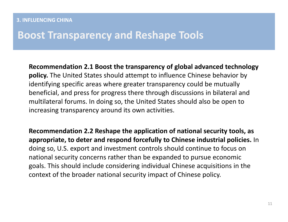### **Boost Transparency and Reshape Tools**

**Recommendation 2.1 Boost the transparency of global advanced technology policy.** The United States should attempt to influence Chinese behavior by identifying specific areas where greater transparency could be mutually beneficial, and press for progress there through discussions in bilateral and multilateral forums. In doing so, the United States should also be open to increasing transparency around its own activities.

**Recommendation 2.2 Reshape the application of national security tools, as appropriate, to deter and respond forcefully to Chinese industrial policies.** In doing so, U.S. export and investment controls should continue to focus on national security concerns rather than be expanded to pursue economic goals. This should include considering individual Chinese acquisitions in the context of the broader national security impact of Chinese policy.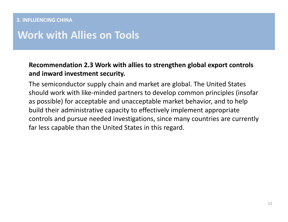## **Work with Allies on Tools**

### **Recommendation 2.3 Work with allies to strengthen global export controls and inward investment security.**

The semiconductor supply chain and market are global. The United States should work with like‐minded partners to develop common principles (insofar as possible) for acceptable and unacceptable market behavior, and to help build their administrative capacity to effectively implement appropriate controls and pursue needed investigations, since many countries are currently far less capable than the United States in this regard.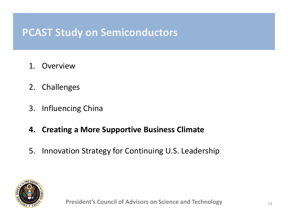- 1. Overview
- 2. Challenges
- 3. Influencing China
- **4. Creating <sup>a</sup> More Supportive Business Climate**
- 5. Innovation Strategy for Continuing U.S. Leadership

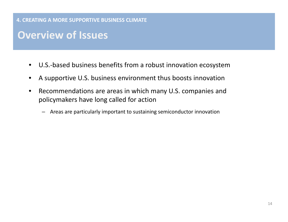#### **4. CREATING A MORE SUPPORTIVE BUSINESS CLIMATE**

## **Overview of Issues**

- $\bullet$ ● U.S.-based business benefits from a robust innovation ecosystem
- •A supportive U.S. business environment thus boosts innovation
- $\bullet$  Recommendations are areas in which many U.S. companies and policymakers have long called for action
	- –Areas are particularly important to sustaining semiconductor innovation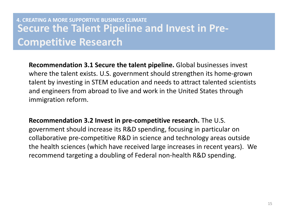### **Secure the Talent Pipeline and Invest in Pre‐ Competitive Research 4. CREATING A MORE SUPPORTIVE BUSINESS CLIMATE**

**Recommendation 3.1 Secure the talent pipeline.** Global businesses invest where the talent exists. U.S. government should strengthen its home‐grown talent by investing in STEM education and needs to attract talented scientists and engineers from abroad to live and work in the United States through immigration reform.

**Recommendation 3.2 Invest in pre‐competitive research.** The U.S. government should increase its R&D spending, focusing in particular on collaborative pre‐competitive R&D in science and technology areas outside the health sciences (which have received large increases in recent years). We recommend targeting <sup>a</sup> doubling of Federal non‐health R&D spending.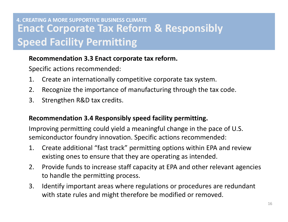### **Enact Corporate Tax Reform & Responsibly Speed Facility Permitting 4. CREATING A MORE SUPPORTIVE BUSINESS CLIMATE**

### **Recommendation 3.3 Enact corporate tax reform.**

Specific actions recommended:

- 1. Create an internationally competitive corporate tax system.
- 2. Recognize the importance of manufacturing through the tax code.
- 3. Strengthen R&D tax credits.

### **Recommendation 3.4 Responsibly speed facility permitting.**

Improving permitting could yield <sup>a</sup> meaningful change in the pace of U.S. semiconductor foundry innovation. Specific actions recommended:

- 1. Create additional "fast track" permitting options within EPA and review existing ones to ensure that they are operating as intended.
- 2. Provide funds to increase staff capacity at EPA and other relevant agencies to handle the permitting process.
- 3. Identify important areas where regulations or procedures are redundant with state rules and might therefore be modified or removed.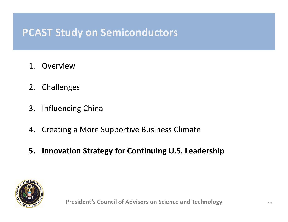- 1. Overview
- 2. Challenges
- 3. Influencing China
- 4. Creating <sup>a</sup> More Supportive Business Climate
- **5. Innovation Strategy for Continuing U.S. Leadership**

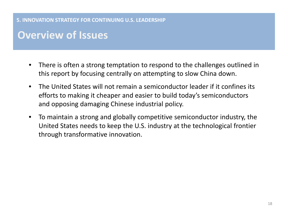**5. INNOVATION STRATEGY FOR CONTINUING U.S. LEADERSHIP**

## **Overview of Issues**

- $\bullet$  There is often <sup>a</sup> strong temptation to respond to the challenges outlined in this report by focusing centrally on attempting to slow China down.
- • The United States will not remain <sup>a</sup> semiconductor leader if it confines its efforts to making it cheaper and easier to build today's semiconductors and opposing damaging Chinese industrial policy.
- $\bullet$  To maintain <sup>a</sup> strong and globally competitive semiconductor industry, the United States needs to keep the U.S. industry at the technological frontier through transformative innovation.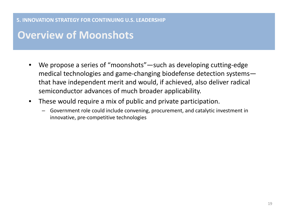**5. INNOVATION STRATEGY FOR CONTINUING U.S. LEADERSHIP**

### **Overview of Moonshots**

- $\bullet$  We propose <sup>a</sup> series of "moonshots"—such as developing cutting‐edge medical technologies and game‐changing biodefense detection systems that have independent merit and would, if achieved, also deliver radical semiconductor advances of much broader applicability.
- $\bullet$  These would require <sup>a</sup> mix of public and private participation.
	- Government role could include convening, procurement, and catalytic investment in innovative, pre‐competitive technologies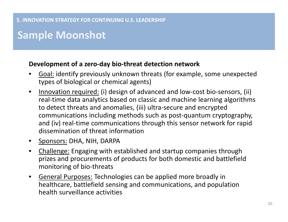## **Sample Moonshot**

### **Development of <sup>a</sup> zero‐day bio‐threat detection network**

- • Goal: identify previously unknown threats (for example, some unexpected types of biological or chemical agents)
- $\bullet$ ● Innovation required: (i) design of advanced and low-cost bio-sensors, (ii) real‐time data analytics based on classic and machine learning algorithms to detect threats and anomalies, (iii) ultra‐secure and encrypted communications including methods such as post‐quantum cryptography, and (iv) real‐time communications through this sensor network for rapid dissemination of threat information
- Sponsors: DHA, NIH, DARPA
- $\bullet$  Challenge: Engaging with established and startup companies through prizes and procurements of products for both domestic and battlefield monitoring of bio‐threats
- $\bullet$  General Purposes: Technologies can be applied more broadly in healthcare, battlefield sensing and communications, and population health surveillance activities